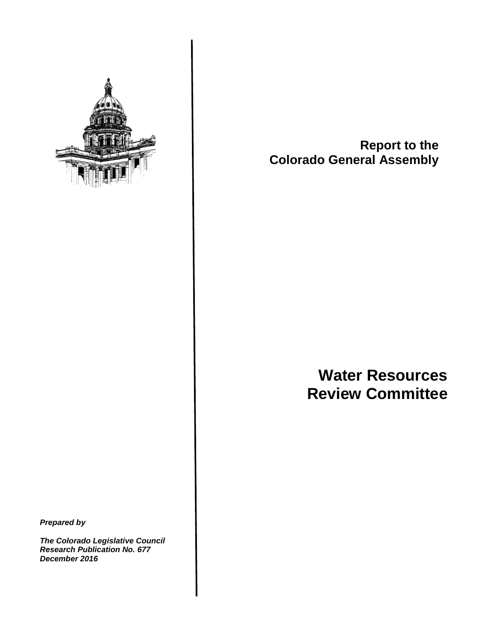

**Report to the Colorado General Assembly**

# **Water Resources Review Committee**

*Prepared by*

*The Colorado Legislative Council Research Publication No. 677 December 2016*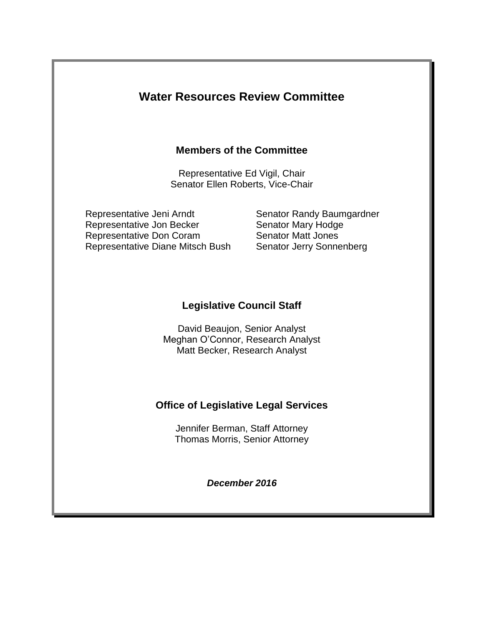## **Water Resources Review Committee**

## **Members of the Committee**

Representative Ed Vigil, Chair Senator Ellen Roberts, Vice-Chair

Representative Jeni Arndt Senator Randy Baumgardner Representative Jon Becker Senator Mary Hodge Representative Don Coram Senator Matt Jones Representative Diane Mitsch Bush Senator Jerry Sonnenberg

## **Legislative Council Staff**

David Beaujon, Senior Analyst Meghan O'Connor, Research Analyst Matt Becker, Research Analyst

## **Office of Legislative Legal Services**

Jennifer Berman, Staff Attorney Thomas Morris, Senior Attorney

*December 2016*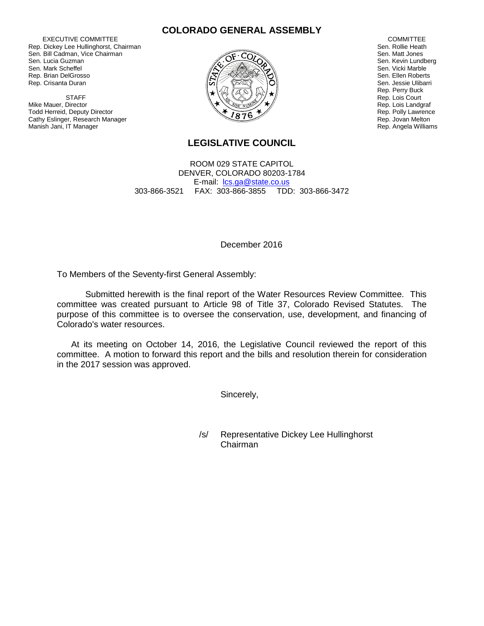EXECUTIVE COMMITTEE Rep. Dickey Lee Hullinghorst, Chairman Sen. Bill Cadman, Vice Chairman Sen. Lucia Guzman Sen. Mark Scheffel Rep. Brian DelGrosso Rep. Crisanta Duran

**STAFF** Mike Mauer, Director Todd Herreid, Deputy Director Cathy Eslinger, Research Manager Manish Jani, IT Manager





 COMMITTEE Sen. Rollie Heath Sen. Matt Jones Sen. Kevin Lundberg Sen. Vicki Marble Sen. Ellen Roberts Sen. Jessie Ulibarri Rep. Perry Buck Rep. Lois Court Rep. Lois Landgraf Rep. Polly Lawrence Rep. Jovan Melton Rep. Angela Williams

## **LEGISLATIVE COUNCIL**

ROOM 029 STATE CAPITOL DENVER, COLORADO 80203-1784 E-mail: [lcs.ga@state.co.us](mailto:lcs.ga@state.co.us) 303-866-3521 FAX: 303-866-3855 TDD: 303-866-3472

December 2016

To Members of the Seventy-first General Assembly:

Submitted herewith is the final report of the Water Resources Review Committee. This committee was created pursuant to Article 98 of Title 37, Colorado Revised Statutes. The purpose of this committee is to oversee the conservation, use, development, and financing of Colorado's water resources.

At its meeting on October 14, 2016, the Legislative Council reviewed the report of this committee. A motion to forward this report and the bills and resolution therein for consideration in the 2017 session was approved.

Sincerely,

/s/ Representative Dickey Lee Hullinghorst Chairman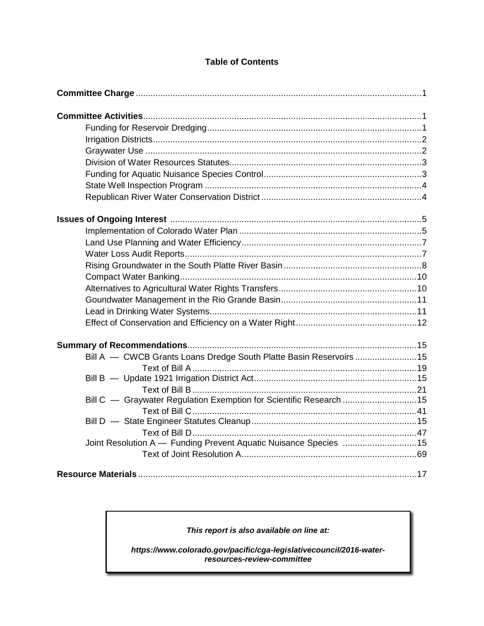## **Table of Contents**

| Bill A - CWCB Grants Loans Dredge South Platte Basin Reservoirs 15 |  |
|--------------------------------------------------------------------|--|
|                                                                    |  |
|                                                                    |  |
|                                                                    |  |
| Bill C - Graywater Regulation Exemption for Scientific Research 15 |  |
|                                                                    |  |
|                                                                    |  |
|                                                                    |  |
| Joint Resolution A - Funding Prevent Aquatic Nuisance Species 15   |  |
|                                                                    |  |
|                                                                    |  |

### *This report is also available on line at:*

*https://www.colorado.gov/pacific/cga-legislativecouncil/2016-waterresources-review-committee*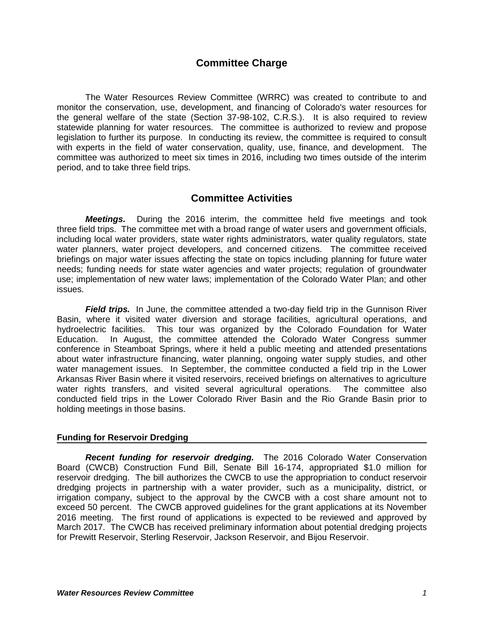## **Committee Charge**

The Water Resources Review Committee (WRRC) was created to contribute to and monitor the conservation, use, development, and financing of Colorado's water resources for the general welfare of the state (Section 37-98-102, C.R.S.). It is also required to review statewide planning for water resources. The committee is authorized to review and propose legislation to further its purpose. In conducting its review, the committee is required to consult with experts in the field of water conservation, quality, use, finance, and development. The committee was authorized to meet six times in 2016, including two times outside of the interim period, and to take three field trips.

## **Committee Activities**

*Meetings.*During the 2016 interim, the committee held five meetings and took three field trips. The committee met with a broad range of water users and government officials, including local water providers, state water rights administrators, water quality regulators, state water planners, water project developers, and concerned citizens. The committee received briefings on major water issues affecting the state on topics including planning for future water needs; funding needs for state water agencies and water projects; regulation of groundwater use; implementation of new water laws; implementation of the Colorado Water Plan; and other issues.

*Field trips.* In June, the committee attended a two-day field trip in the Gunnison River Basin, where it visited water diversion and storage facilities, agricultural operations, and hydroelectric facilities. This tour was organized by the Colorado Foundation for Water Education. In August, the committee attended the Colorado Water Congress summer conference in Steamboat Springs, where it held a public meeting and attended presentations about water infrastructure financing, water planning, ongoing water supply studies, and other water management issues. In September, the committee conducted a field trip in the Lower Arkansas River Basin where it visited reservoirs, received briefings on alternatives to agriculture water rights transfers, and visited several agricultural operations. The committee also conducted field trips in the Lower Colorado River Basin and the Rio Grande Basin prior to holding meetings in those basins.

#### **Funding for Reservoir Dredging**

*Recent funding for reservoir dredging.* The 2016 Colorado Water Conservation Board (CWCB) Construction Fund Bill, Senate Bill 16-174, appropriated \$1.0 million for reservoir dredging. The bill authorizes the CWCB to use the appropriation to conduct reservoir dredging projects in partnership with a water provider, such as a municipality, district, or irrigation company, subject to the approval by the CWCB with a cost share amount not to exceed 50 percent. The CWCB approved guidelines for the grant applications at its November 2016 meeting. The first round of applications is expected to be reviewed and approved by March 2017. The CWCB has received preliminary information about potential dredging projects for Prewitt Reservoir, Sterling Reservoir, Jackson Reservoir, and Bijou Reservoir.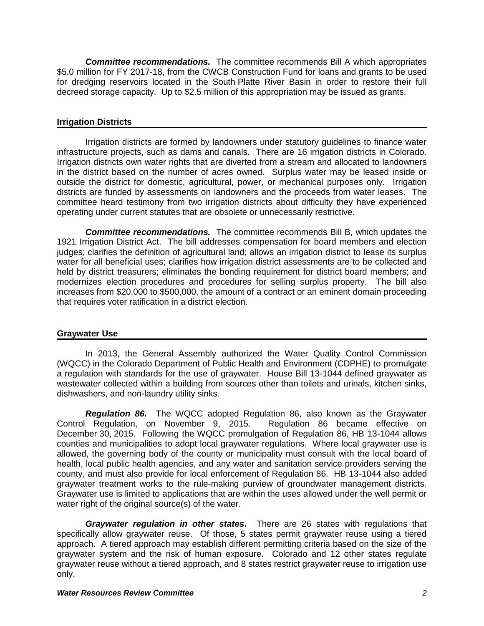*Committee recommendations.* The committee recommends Bill A which appropriates \$5.0 million for FY 2017-18, from the CWCB Construction Fund for loans and grants to be used for dredging reservoirs located in the South Platte River Basin in order to restore their full decreed storage capacity. Up to \$2.5 million of this appropriation may be issued as grants.

#### **Irrigation Districts**

Irrigation districts are formed by landowners under statutory guidelines to finance water infrastructure projects, such as dams and canals. There are 16 irrigation districts in Colorado. Irrigation districts own water rights that are diverted from a stream and allocated to landowners in the district based on the number of acres owned. Surplus water may be leased inside or outside the district for domestic, agricultural, power, or mechanical purposes only. Irrigation districts are funded by assessments on landowners and the proceeds from water leases. The committee heard testimony from two irrigation districts about difficulty they have experienced operating under current statutes that are obsolete or unnecessarily restrictive.

*Committee recommendations.* The committee recommends Bill B, which updates the 1921 Irrigation District Act. The bill addresses compensation for board members and election judges; clarifies the definition of agricultural land; allows an irrigation district to lease its surplus water for all beneficial uses; clarifies how irrigation district assessments are to be collected and held by district treasurers; eliminates the bonding requirement for district board members; and modernizes election procedures and procedures for selling surplus property. The bill also increases from \$20,000 to \$500,000, the amount of a contract or an eminent domain proceeding that requires voter ratification in a district election.

#### **Graywater Use**

In 2013, the General Assembly authorized the Water Quality Control Commission (WQCC) in the Colorado Department of Public Health and Environment (CDPHE) to promulgate a regulation with standards for the use of graywater. House Bill 13-1044 defined graywater as wastewater collected within a building from sources other than toilets and urinals, kitchen sinks, dishwashers, and non-laundry utility sinks.

*Regulation 86.* The WQCC adopted Regulation 86, also known as the Graywater Control Regulation, on November 9, 2015. Regulation 86 became effective on December 30, 2015. Following the WQCC promulgation of Regulation 86, HB 13-1044 allows counties and municipalities to adopt local graywater regulations. Where local graywater use is allowed, the governing body of the county or municipality must consult with the local board of health, local public health agencies, and any water and sanitation service providers serving the county, and must also provide for local enforcement of Regulation 86. HB 13-1044 also added graywater treatment works to the rule-making purview of groundwater management districts. Graywater use is limited to applications that are within the uses allowed under the well permit or water right of the original source(s) of the water.

*Graywater regulation in other states***.** There are 26 states with regulations that specifically allow graywater reuse. Of those, 5 states permit graywater reuse using a tiered approach. A tiered approach may establish different permitting criteria based on the size of the graywater system and the risk of human exposure. Colorado and 12 other states regulate graywater reuse without a tiered approach, and 8 states restrict graywater reuse to irrigation use only.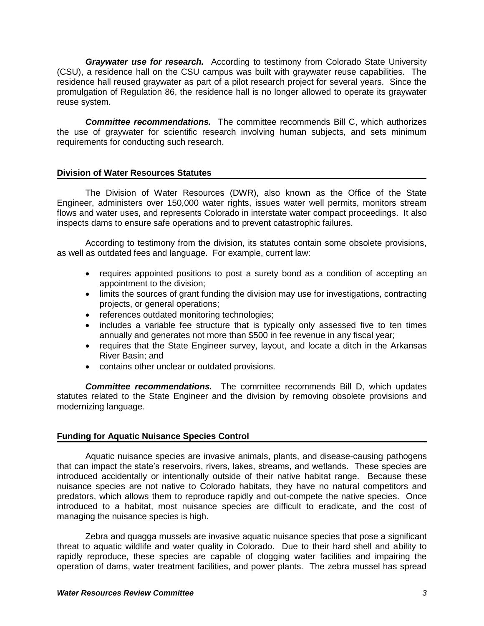*Graywater use for research.* According to testimony from Colorado State University (CSU), a residence hall on the CSU campus was built with graywater reuse capabilities. The residence hall reused graywater as part of a pilot research project for several years. Since the promulgation of Regulation 86, the residence hall is no longer allowed to operate its graywater reuse system.

*Committee recommendations.* The committee recommends Bill C, which authorizes the use of graywater for scientific research involving human subjects, and sets minimum requirements for conducting such research.

#### **Division of Water Resources Statutes**

The Division of Water Resources (DWR), also known as the Office of the State Engineer, administers over 150,000 water rights, issues water well permits, monitors stream flows and water uses, and represents Colorado in interstate water compact proceedings. It also inspects dams to ensure safe operations and to prevent catastrophic failures.

According to testimony from the division, its statutes contain some obsolete provisions, as well as outdated fees and language. For example, current law:

- requires appointed positions to post a surety bond as a condition of accepting an appointment to the division;
- limits the sources of grant funding the division may use for investigations, contracting projects, or general operations;
- references outdated monitoring technologies;
- includes a variable fee structure that is typically only assessed five to ten times annually and generates not more than \$500 in fee revenue in any fiscal year;
- requires that the State Engineer survey, layout, and locate a ditch in the Arkansas River Basin; and
- contains other unclear or outdated provisions.

*Committee recommendations.* The committee recommends Bill D, which updates statutes related to the State Engineer and the division by removing obsolete provisions and modernizing language.

#### **Funding for Aquatic Nuisance Species Control**

Aquatic nuisance species are invasive animals, plants, and disease-causing pathogens that can impact the state's reservoirs, rivers, lakes, streams, and wetlands. These species are introduced accidentally or intentionally outside of their native habitat range. Because these nuisance species are not native to Colorado habitats, they have no natural competitors and predators, which allows them to reproduce rapidly and out-compete the native species. Once introduced to a habitat, most nuisance species are difficult to eradicate, and the cost of managing the nuisance species is high.

Zebra and quagga mussels are invasive aquatic nuisance species that pose a significant threat to aquatic wildlife and water quality in Colorado. Due to their hard shell and ability to rapidly reproduce, these species are capable of clogging water facilities and impairing the operation of dams, water treatment facilities, and power plants. The zebra mussel has spread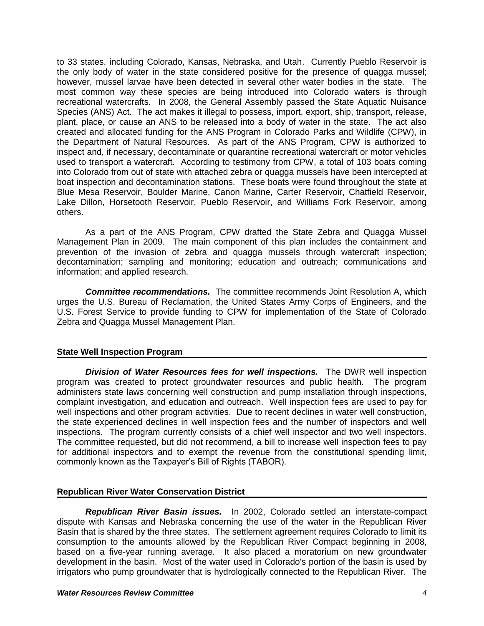to 33 states, including Colorado, Kansas, Nebraska, and Utah. Currently Pueblo Reservoir is the only body of water in the state considered positive for the presence of quagga mussel; however, mussel larvae have been detected in several other water bodies in the state. The most common way these species are being introduced into Colorado waters is through recreational watercrafts. In 2008, the General Assembly passed the State Aquatic Nuisance Species (ANS) Act. The act makes it illegal to possess, import, export, ship, transport, release, plant, place, or cause an ANS to be released into a body of water in the state. The act also created and allocated funding for the ANS Program in Colorado Parks and Wildlife (CPW), in the Department of Natural Resources. As part of the ANS Program, CPW is authorized to inspect and, if necessary, decontaminate or quarantine recreational watercraft or motor vehicles used to transport a watercraft. According to testimony from CPW, a total of 103 boats coming into Colorado from out of state with attached zebra or quagga mussels have been intercepted at boat inspection and decontamination stations. These boats were found throughout the state at Blue Mesa Reservoir, Boulder Marine, Canon Marine, Carter Reservoir, Chatfield Reservoir, Lake Dillon, Horsetooth Reservoir, Pueblo Reservoir, and Williams Fork Reservoir, among others.

As a part of the ANS Program, CPW drafted the State Zebra and Quagga Mussel Management Plan in 2009. The main component of this plan includes the containment and prevention of the invasion of zebra and quagga mussels through watercraft inspection; decontamination; sampling and monitoring; education and outreach; communications and information; and applied research.

*Committee recommendations.* The committee recommends Joint Resolution A, which urges the U.S. Bureau of Reclamation, the United States Army Corps of Engineers, and the U.S. Forest Service to provide funding to CPW for implementation of the State of Colorado Zebra and Quagga Mussel Management Plan.

#### **State Well Inspection Program**

*Division of Water Resources fees for well inspections.* The DWR well inspection program was created to protect groundwater resources and public health. The program administers state laws concerning well construction and pump installation through inspections, complaint investigation, and education and outreach. Well inspection fees are used to pay for well inspections and other program activities. Due to recent declines in water well construction, the state experienced declines in well inspection fees and the number of inspectors and well inspections. The program currently consists of a chief well inspector and two well inspectors. The committee requested, but did not recommend, a bill to increase well inspection fees to pay for additional inspectors and to exempt the revenue from the constitutional spending limit, commonly known as the Taxpayer's Bill of Rights (TABOR).

#### **Republican River Water Conservation District**

*Republican River Basin issues.* In 2002, Colorado settled an interstate-compact dispute with Kansas and Nebraska concerning the use of the water in the Republican River Basin that is shared by the three states. The settlement agreement requires Colorado to limit its consumption to the amounts allowed by the Republican River Compact beginning in 2008, based on a five-year running average. It also placed a moratorium on new groundwater development in the basin. Most of the water used in Colorado's portion of the basin is used by irrigators who pump groundwater that is hydrologically connected to the Republican River. The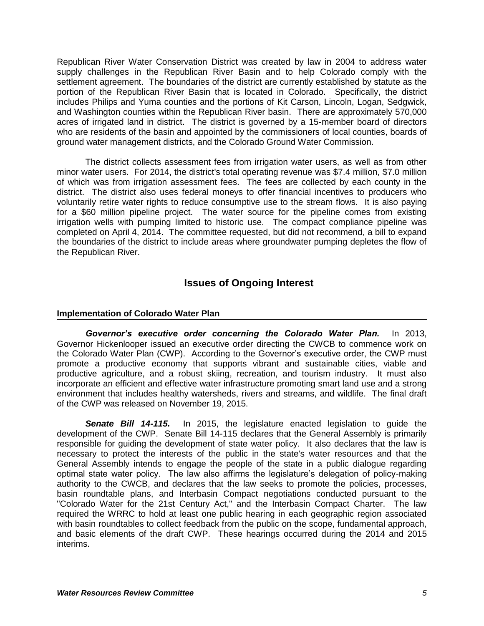Republican River Water Conservation District was created by law in 2004 to address water supply challenges in the Republican River Basin and to help Colorado comply with the settlement agreement. The boundaries of the district are currently established by statute as the portion of the Republican River Basin that is located in Colorado. Specifically, the district includes Philips and Yuma counties and the portions of Kit Carson, Lincoln, Logan, Sedgwick, and Washington counties within the Republican River basin. There are approximately 570,000 acres of irrigated land in district. The district is governed by a 15-member board of directors who are residents of the basin and appointed by the commissioners of local counties, boards of ground water management districts, and the Colorado Ground Water Commission.

The district collects assessment fees from irrigation water users, as well as from other minor water users. For 2014, the district's total operating revenue was \$7.4 million, \$7.0 million of which was from irrigation assessment fees. The fees are collected by each county in the district. The district also uses federal moneys to offer financial incentives to producers who voluntarily retire water rights to reduce consumptive use to the stream flows. It is also paying for a \$60 million pipeline project. The water source for the pipeline comes from existing irrigation wells with pumping limited to historic use. The compact compliance pipeline was completed on April 4, 2014. The committee requested, but did not recommend, a bill to expand the boundaries of the district to include areas where groundwater pumping depletes the flow of the Republican River.

## **Issues of Ongoing Interest**

#### **Implementation of Colorado Water Plan**

*Governor's executive order concerning the Colorado Water Plan.* In 2013, Governor Hickenlooper issued an executive order directing the CWCB to commence work on the Colorado Water Plan (CWP). According to the Governor's executive order, the CWP must promote a productive economy that supports vibrant and sustainable cities, viable and productive agriculture, and a robust skiing, recreation, and tourism industry. It must also incorporate an efficient and effective water infrastructure promoting smart land use and a strong environment that includes healthy watersheds, rivers and streams, and wildlife. The final draft of the CWP was released on November 19, 2015.

*Senate Bill 14-115.* In 2015, the legislature enacted legislation to guide the development of the CWP. Senate Bill 14-115 declares that the General Assembly is primarily responsible for guiding the development of state water policy. It also declares that the law is necessary to protect the interests of the public in the state's water resources and that the General Assembly intends to engage the people of the state in a public dialogue regarding optimal state water policy. The law also affirms the legislature's delegation of policy-making authority to the CWCB, and declares that the law seeks to promote the policies, processes, basin roundtable plans, and Interbasin Compact negotiations conducted pursuant to the "Colorado Water for the 21st Century Act," and the Interbasin Compact Charter. The law required the WRRC to hold at least one public hearing in each geographic region associated with basin roundtables to collect feedback from the public on the scope, fundamental approach, and basic elements of the draft CWP. These hearings occurred during the 2014 and 2015 interims.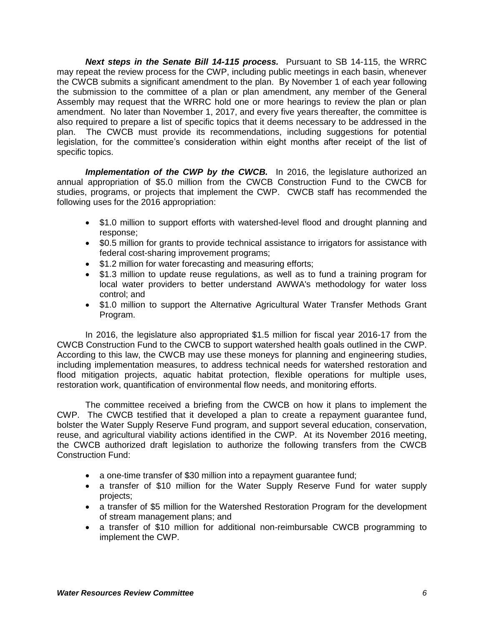*Next steps in the Senate Bill 14-115 process.* Pursuant to SB 14-115, the WRRC may repeat the review process for the CWP, including public meetings in each basin, whenever the CWCB submits a significant amendment to the plan. By November 1 of each year following the submission to the committee of a plan or plan amendment, any member of the General Assembly may request that the WRRC hold one or more hearings to review the plan or plan amendment. No later than November 1, 2017, and every five years thereafter, the committee is also required to prepare a list of specific topics that it deems necessary to be addressed in the plan. The CWCB must provide its recommendations, including suggestions for potential legislation, for the committee's consideration within eight months after receipt of the list of specific topics.

*Implementation of the CWP by the CWCB.* In 2016, the legislature authorized an annual appropriation of \$5.0 million from the CWCB Construction Fund to the CWCB for studies, programs, or projects that implement the CWP. CWCB staff has recommended the following uses for the 2016 appropriation:

- \$1.0 million to support efforts with watershed-level flood and drought planning and response;
- \$0.5 million for grants to provide technical assistance to irrigators for assistance with federal cost-sharing improvement programs;
- \$1.2 million for water forecasting and measuring efforts;
- \$1.3 million to update reuse regulations, as well as to fund a training program for local water providers to better understand AWWA's methodology for water loss control; and
- \$1.0 million to support the Alternative Agricultural Water Transfer Methods Grant Program.

In 2016, the legislature also appropriated \$1.5 million for fiscal year 2016-17 from the CWCB Construction Fund to the CWCB to support watershed health goals outlined in the CWP. According to this law, the CWCB may use these moneys for planning and engineering studies, including implementation measures, to address technical needs for watershed restoration and flood mitigation projects, aquatic habitat protection, flexible operations for multiple uses, restoration work, quantification of environmental flow needs, and monitoring efforts.

The committee received a briefing from the CWCB on how it plans to implement the CWP. The CWCB testified that it developed a plan to create a repayment guarantee fund, bolster the Water Supply Reserve Fund program, and support several education, conservation, reuse, and agricultural viability actions identified in the CWP. At its November 2016 meeting, the CWCB authorized draft legislation to authorize the following transfers from the CWCB Construction Fund:

- a one-time transfer of \$30 million into a repayment quarantee fund;
- a transfer of \$10 million for the Water Supply Reserve Fund for water supply projects;
- a transfer of \$5 million for the Watershed Restoration Program for the development of stream management plans; and
- a transfer of \$10 million for additional non-reimbursable CWCB programming to implement the CWP.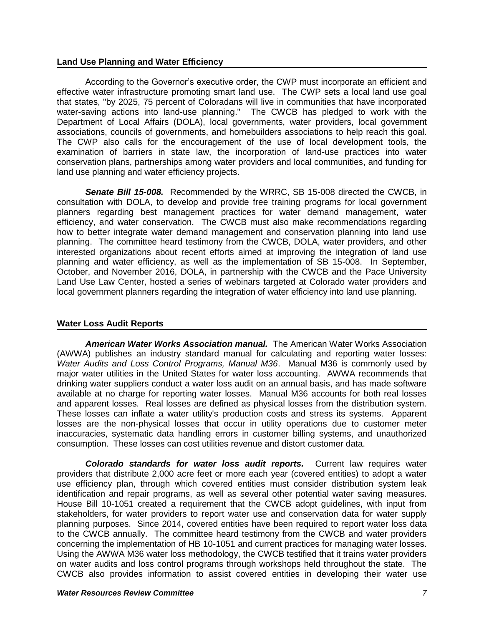#### **Land Use Planning and Water Efficiency**

According to the Governor's executive order, the CWP must incorporate an efficient and effective water infrastructure promoting smart land use. The CWP sets a local land use goal that states, "by 2025, 75 percent of Coloradans will live in communities that have incorporated water-saving actions into land-use planning." The CWCB has pledged to work with the Department of Local Affairs (DOLA), local governments, water providers, local government associations, councils of governments, and homebuilders associations to help reach this goal. The CWP also calls for the encouragement of the use of local development tools, the examination of barriers in state law, the incorporation of land-use practices into water conservation plans, partnerships among water providers and local communities, and funding for land use planning and water efficiency projects.

*Senate Bill 15-008.* Recommended by the WRRC, SB 15-008 directed the CWCB, in consultation with DOLA, to develop and provide free training programs for local government planners regarding best management practices for water demand management, water efficiency, and water conservation. The CWCB must also make recommendations regarding how to better integrate water demand management and conservation planning into land use planning. The committee heard testimony from the CWCB, DOLA, water providers, and other interested organizations about recent efforts aimed at improving the integration of land use planning and water efficiency, as well as the implementation of SB 15-008.In September, October, and November 2016, DOLA, in partnership with the CWCB and the Pace University Land Use Law Center, hosted a series of webinars targeted at Colorado water providers and local government planners regarding the integration of water efficiency into land use planning.

#### **Water Loss Audit Reports**

*American Water Works Association manual.* The American Water Works Association (AWWA) publishes an industry standard manual for calculating and reporting water losses: *Water Audits and Loss Control Programs, Manual M36*. Manual M36 is commonly used by major water utilities in the United States for water loss accounting. AWWA recommends that drinking water suppliers conduct a water loss audit on an annual basis, and has made software available at no charge for reporting water losses. Manual M36 accounts for both real losses and apparent losses. Real losses are defined as physical losses from the distribution system. These losses can inflate a water utility's production costs and stress its systems. Apparent losses are the non-physical losses that occur in utility operations due to customer meter inaccuracies, systematic data handling errors in customer billing systems, and unauthorized consumption. These losses can cost utilities revenue and distort customer data.

*Colorado standards for water loss audit reports.* Current law requires water providers that distribute 2,000 acre feet or more each year (covered entities) to adopt a water use efficiency plan, through which covered entities must consider distribution system leak identification and repair programs, as well as several other potential water saving measures. House Bill 10-1051 created a requirement that the CWCB adopt guidelines, with input from stakeholders, for water providers to report water use and conservation data for water supply planning purposes. Since 2014, covered entities have been required to report water loss data to the CWCB annually. The committee heard testimony from the CWCB and water providers concerning the implementation of HB 10-1051 and current practices for managing water losses. Using the AWWA M36 water loss methodology, the CWCB testified that it trains water providers on water audits and loss control programs through workshops held throughout the state. The CWCB also provides information to assist covered entities in developing their water use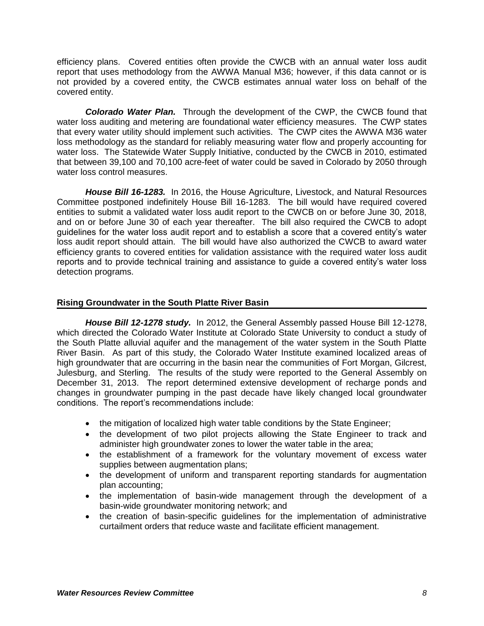efficiency plans. Covered entities often provide the CWCB with an annual water loss audit report that uses methodology from the AWWA Manual M36; however, if this data cannot or is not provided by a covered entity, the CWCB estimates annual water loss on behalf of the covered entity.

*Colorado Water Plan.* Through the development of the CWP, the CWCB found that water loss auditing and metering are foundational water efficiency measures. The CWP states that every water utility should implement such activities. The CWP cites the AWWA M36 water loss methodology as the standard for reliably measuring water flow and properly accounting for water loss. The Statewide Water Supply Initiative, conducted by the CWCB in 2010, estimated that between 39,100 and 70,100 acre-feet of water could be saved in Colorado by 2050 through water loss control measures.

*House Bill 16-1283.* In 2016, the House Agriculture, Livestock, and Natural Resources Committee postponed indefinitely House Bill 16-1283. The bill would have required covered entities to submit a validated water loss audit report to the CWCB on or before June 30, 2018, and on or before June 30 of each year thereafter. The bill also required the CWCB to adopt guidelines for the water loss audit report and to establish a score that a covered entity's water loss audit report should attain. The bill would have also authorized the CWCB to award water efficiency grants to covered entities for validation assistance with the required water loss audit reports and to provide technical training and assistance to guide a covered entity's water loss detection programs.

#### **Rising Groundwater in the South Platte River Basin**

*House Bill 12-1278 study.* In 2012, the General Assembly passed House Bill 12-1278, which directed the Colorado Water Institute at Colorado State University to conduct a study of the South Platte alluvial aquifer and the management of the water system in the South Platte River Basin. As part of this study, the Colorado Water Institute examined localized areas of high groundwater that are occurring in the basin near the communities of Fort Morgan, Gilcrest, Julesburg, and Sterling. The results of the study were reported to the General Assembly on December 31, 2013. The report determined extensive development of recharge ponds and changes in groundwater pumping in the past decade have likely changed local groundwater conditions. The report's recommendations include:

- the mitigation of localized high water table conditions by the State Engineer;
- the development of two pilot projects allowing the State Engineer to track and administer high groundwater zones to lower the water table in the area;
- the establishment of a framework for the voluntary movement of excess water supplies between augmentation plans;
- the development of uniform and transparent reporting standards for augmentation plan accounting;
- the implementation of basin-wide management through the development of a basin-wide groundwater monitoring network; and
- the creation of basin-specific guidelines for the implementation of administrative curtailment orders that reduce waste and facilitate efficient management.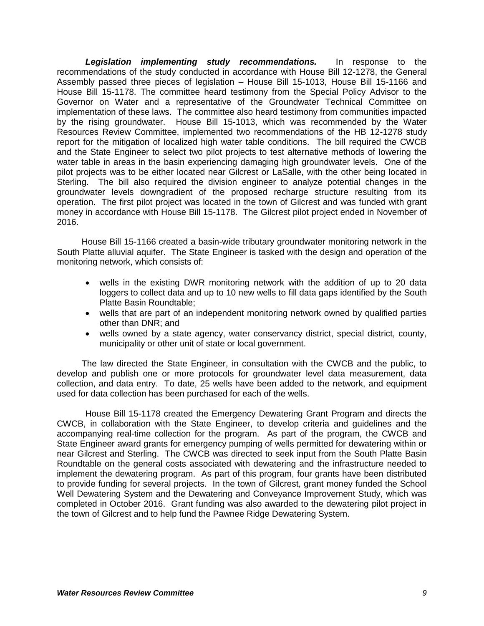*Legislation implementing study recommendations.* In response to the recommendations of the study conducted in accordance with House Bill 12-1278, the General Assembly passed three pieces of legislation – House Bill 15-1013, House Bill 15-1166 and House Bill 15-1178. The committee heard testimony from the Special Policy Advisor to the Governor on Water and a representative of the Groundwater Technical Committee on implementation of these laws. The committee also heard testimony from communities impacted by the rising groundwater. House Bill 15-1013, which was recommended by the Water Resources Review Committee, implemented two recommendations of the HB 12-1278 study report for the mitigation of localized high water table conditions. The bill required the CWCB and the State Engineer to select two pilot projects to test alternative methods of lowering the water table in areas in the basin experiencing damaging high groundwater levels. One of the pilot projects was to be either located near Gilcrest or LaSalle, with the other being located in Sterling. The bill also required the division engineer to analyze potential changes in the groundwater levels downgradient of the proposed recharge structure resulting from its operation. The first pilot project was located in the town of Gilcrest and was funded with grant money in accordance with House Bill 15-1178. The Gilcrest pilot project ended in November of 2016.

House Bill 15-1166 created a basin-wide tributary groundwater monitoring network in the South Platte alluvial aquifer. The State Engineer is tasked with the design and operation of the monitoring network, which consists of:

- wells in the existing DWR monitoring network with the addition of up to 20 data loggers to collect data and up to 10 new wells to fill data gaps identified by the South Platte Basin Roundtable;
- wells that are part of an independent monitoring network owned by qualified parties other than DNR; and
- wells owned by a state agency, water conservancy district, special district, county, municipality or other unit of state or local government.

The law directed the State Engineer, in consultation with the CWCB and the public, to develop and publish one or more protocols for groundwater level data measurement, data collection, and data entry. To date, 25 wells have been added to the network, and equipment used for data collection has been purchased for each of the wells.

House Bill 15-1178 created the Emergency Dewatering Grant Program and directs the CWCB, in collaboration with the State Engineer, to develop criteria and guidelines and the accompanying real-time collection for the program. As part of the program, the CWCB and State Engineer award grants for emergency pumping of wells permitted for dewatering within or near Gilcrest and Sterling. The CWCB was directed to seek input from the South Platte Basin Roundtable on the general costs associated with dewatering and the infrastructure needed to implement the dewatering program. As part of this program, four grants have been distributed to provide funding for several projects. In the town of Gilcrest, grant money funded the School Well Dewatering System and the Dewatering and Conveyance Improvement Study, which was completed in October 2016. Grant funding was also awarded to the dewatering pilot project in the town of Gilcrest and to help fund the Pawnee Ridge Dewatering System.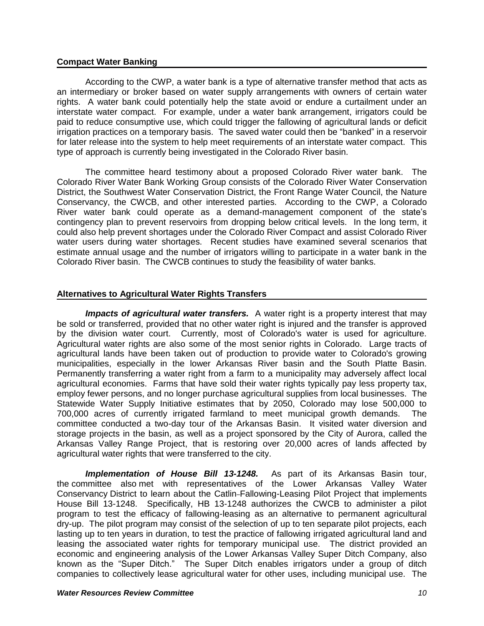#### **Compact Water Banking**

According to the CWP, a water bank is a type of alternative transfer method that acts as an intermediary or broker based on water supply arrangements with owners of certain water rights. A water bank could potentially help the state avoid or endure a curtailment under an interstate water compact. For example, under a water bank arrangement, irrigators could be paid to reduce consumptive use, which could trigger the fallowing of agricultural lands or deficit irrigation practices on a temporary basis. The saved water could then be "banked" in a reservoir for later release into the system to help meet requirements of an interstate water compact. This type of approach is currently being investigated in the Colorado River basin.

The committee heard testimony about a proposed Colorado River water bank. The Colorado River Water Bank Working Group consists of the Colorado River Water Conservation District, the Southwest Water Conservation District, the Front Range Water Council, the Nature Conservancy, the CWCB, and other interested parties. According to the CWP, a Colorado River water bank could operate as a demand-management component of the state's contingency plan to prevent reservoirs from dropping below critical levels. In the long term, it could also help prevent shortages under the Colorado River Compact and assist Colorado River water users during water shortages. Recent studies have examined several scenarios that estimate annual usage and the number of irrigators willing to participate in a water bank in the Colorado River basin. The CWCB continues to study the feasibility of water banks.

#### **Alternatives to Agricultural Water Rights Transfers**

*Impacts of agricultural water transfers.* A water right is a property interest that may be sold or transferred, provided that no other water right is injured and the transfer is approved by the division water court. Currently, most of Colorado's water is used for agriculture. Agricultural water rights are also some of the most senior rights in Colorado. Large tracts of agricultural lands have been taken out of production to provide water to Colorado's growing municipalities, especially in the lower Arkansas River basin and the South Platte Basin. Permanently transferring a water right from a farm to a municipality may adversely affect local agricultural economies. Farms that have sold their water rights typically pay less property tax, employ fewer persons, and no longer purchase agricultural supplies from local businesses. The Statewide Water Supply Initiative estimates that by 2050, Colorado may lose 500,000 to 700,000 acres of currently irrigated farmland to meet municipal growth demands. The committee conducted a two-day tour of the Arkansas Basin. It visited water diversion and storage projects in the basin, as well as a project sponsored by the City of Aurora, called the Arkansas Valley Range Project, that is restoring over 20,000 acres of lands affected by agricultural water rights that were transferred to the city.

*Implementation of House Bill 13-1248.* As part of its Arkansas Basin tour, the committee also met with representatives of the Lower Arkansas Valley Water Conservancy District to learn about the Catlin Fallowing-Leasing Pilot Project that implements House Bill 13-1248. Specifically, HB 13-1248 authorizes the CWCB to administer a pilot program to test the efficacy of fallowing-leasing as an alternative to permanent agricultural dry-up. The pilot program may consist of the selection of up to ten separate pilot projects, each lasting up to ten years in duration, to test the practice of fallowing irrigated agricultural land and leasing the associated water rights for temporary municipal use. The district provided an economic and engineering analysis of the Lower Arkansas Valley Super Ditch Company, also known as the "Super Ditch." The Super Ditch enables irrigators under a group of ditch companies to collectively lease agricultural water for other uses, including municipal use. The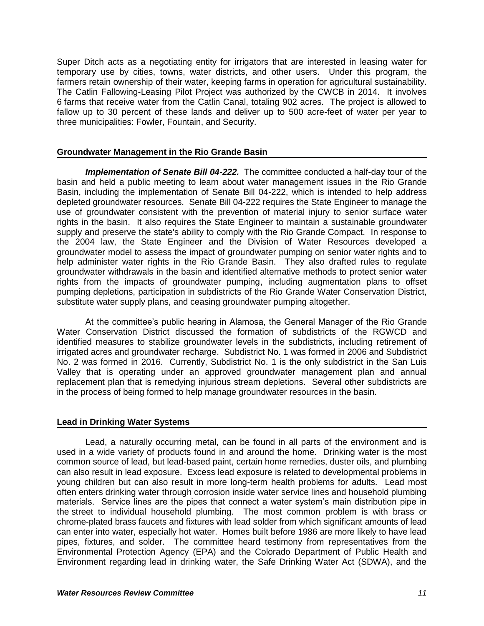Super Ditch acts as a negotiating entity for irrigators that are interested in leasing water for temporary use by cities, towns, water districts, and other users. Under this program, the farmers retain ownership of their water, keeping farms in operation for agricultural sustainability. The Catlin Fallowing-Leasing Pilot Project was authorized by the CWCB in 2014. It involves 6 farms that receive water from the Catlin Canal, totaling 902 acres. The project is allowed to fallow up to 30 percent of these lands and deliver up to 500 acre-feet of water per year to three municipalities: Fowler, Fountain, and Security.

#### **Groundwater Management in the Rio Grande Basin**

*Implementation of Senate Bill 04-222.* The committee conducted a half-day tour of the basin and held a public meeting to learn about water management issues in the Rio Grande Basin, including the implementation of Senate Bill 04-222, which is intended to help address depleted groundwater resources. Senate Bill 04-222 requires the State Engineer to manage the use of groundwater consistent with the prevention of material injury to senior surface water rights in the basin. It also requires the State Engineer to maintain a sustainable groundwater supply and preserve the state's ability to comply with the Rio Grande Compact. In response to the 2004 law, the State Engineer and the Division of Water Resources developed a groundwater model to assess the impact of groundwater pumping on senior water rights and to help administer water rights in the Rio Grande Basin. They also drafted rules to regulate groundwater withdrawals in the basin and identified alternative methods to protect senior water rights from the impacts of groundwater pumping, including augmentation plans to offset pumping depletions, participation in subdistricts of the Rio Grande Water Conservation District, substitute water supply plans, and ceasing groundwater pumping altogether.

At the committee's public hearing in Alamosa, the General Manager of the Rio Grande Water Conservation District discussed the formation of subdistricts of the RGWCD and identified measures to stabilize groundwater levels in the subdistricts, including retirement of irrigated acres and groundwater recharge. Subdistrict No. 1 was formed in 2006 and Subdistrict No. 2 was formed in 2016. Currently, Subdistrict No. 1 is the only subdistrict in the San Luis Valley that is operating under an approved groundwater management plan and annual replacement plan that is remedying injurious stream depletions. Several other subdistricts are in the process of being formed to help manage groundwater resources in the basin.

#### **Lead in Drinking Water Systems**

Lead, a naturally occurring metal, can be found in all parts of the environment and is used in a wide variety of products found in and around the home. Drinking water is the most common source of lead, but lead-based paint, certain home remedies, duster oils, and plumbing can also result in lead exposure. Excess lead exposure is related to developmental problems in young children but can also result in more long-term health problems for adults. Lead most often enters drinking water through corrosion inside water service lines and household plumbing materials. Service lines are the pipes that connect a water system's main distribution pipe in the street to individual household plumbing. The most common problem is with brass or chrome-plated brass faucets and fixtures with lead solder from which significant amounts of lead can enter into water, especially hot water. Homes built before 1986 are more likely to have lead pipes, fixtures, and solder. The committee heard testimony from representatives from the Environmental Protection Agency (EPA) and the Colorado Department of Public Health and Environment regarding lead in drinking water, the Safe Drinking Water Act (SDWA), and the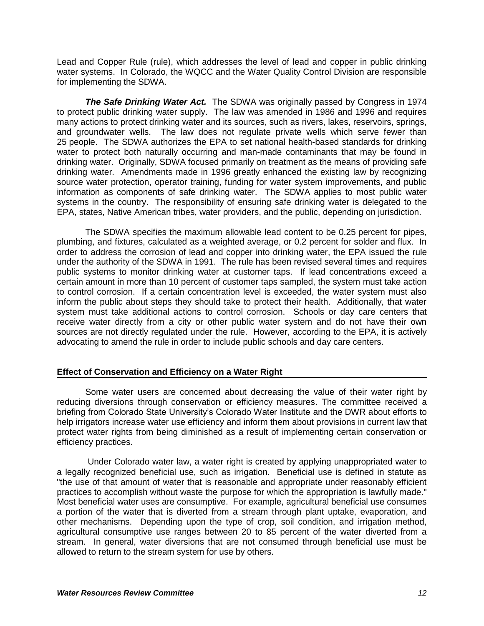Lead and Copper Rule (rule), which addresses the level of lead and copper in public drinking water systems. In Colorado, the WQCC and the Water Quality Control Division are responsible for implementing the SDWA.

*The Safe Drinking Water Act.* The SDWA was originally passed by Congress in 1974 to protect public drinking water supply. The law was amended in 1986 and 1996 and requires many actions to protect drinking water and its sources, such as rivers, lakes, reservoirs, springs, and groundwater wells. The law does not regulate private wells which serve fewer than 25 people. The SDWA authorizes the EPA to set national health-based standards for drinking water to protect both naturally occurring and man-made contaminants that may be found in drinking water. Originally, SDWA focused primarily on treatment as the means of providing safe drinking water. Amendments made in 1996 greatly enhanced the existing law by recognizing source water protection, operator training, funding for water system improvements, and public information as components of safe drinking water. The SDWA applies to most public water systems in the country. The responsibility of ensuring safe drinking water is delegated to the EPA, states, Native American tribes, water providers, and the public, depending on jurisdiction.

The SDWA specifies the maximum allowable lead content to be 0.25 percent for pipes, plumbing, and fixtures, calculated as a weighted average, or 0.2 percent for solder and flux. In order to address the corrosion of lead and copper into drinking water, the EPA issued the rule under the authority of the SDWA in 1991. The rule has been revised several times and requires public systems to monitor drinking water at customer taps. If lead concentrations exceed a certain amount in more than 10 percent of customer taps sampled, the system must take action to control corrosion. If a certain concentration level is exceeded, the water system must also inform the public about steps they should take to protect their health. Additionally, that water system must take additional actions to control corrosion. Schools or day care centers that receive water directly from a city or other public water system and do not have their own sources are not directly regulated under the rule. However, according to the EPA, it is actively advocating to amend the rule in order to include public schools and day care centers.

#### **Effect of Conservation and Efficiency on a Water Right**

Some water users are concerned about decreasing the value of their water right by reducing diversions through conservation or efficiency measures. The committee received a briefing from Colorado State University's Colorado Water Institute and the DWR about efforts to help irrigators increase water use efficiency and inform them about provisions in current law that protect water rights from being diminished as a result of implementing certain conservation or efficiency practices.

Under Colorado water law, a water right is created by applying unappropriated water to a legally recognized beneficial use, such as irrigation. Beneficial use is defined in statute as "the use of that amount of water that is reasonable and appropriate under reasonably efficient practices to accomplish without waste the purpose for which the appropriation is lawfully made." Most beneficial water uses are consumptive. For example, agricultural beneficial use consumes a portion of the water that is diverted from a stream through plant uptake, evaporation, and other mechanisms. Depending upon the type of crop, soil condition, and irrigation method, agricultural consumptive use ranges between 20 to 85 percent of the water diverted from a stream. In general, water diversions that are not consumed through beneficial use must be allowed to return to the stream system for use by others.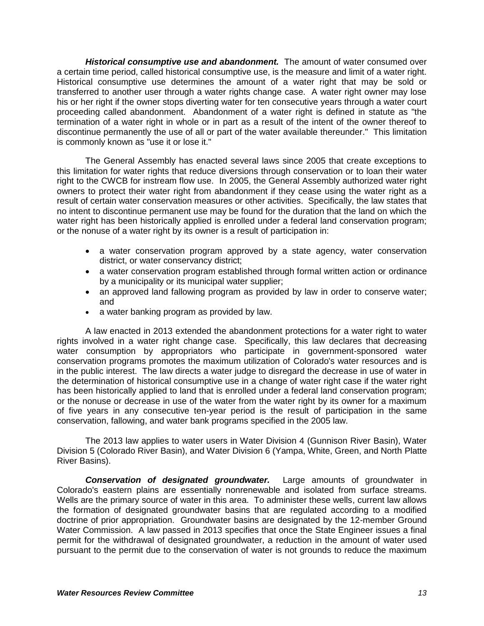*Historical consumptive use and abandonment.* The amount of water consumed over a certain time period, called historical consumptive use, is the measure and limit of a water right. Historical consumptive use determines the amount of a water right that may be sold or transferred to another user through a water rights change case. A water right owner may lose his or her right if the owner stops diverting water for ten consecutive years through a water court proceeding called abandonment. Abandonment of a water right is defined in statute as "the termination of a water right in whole or in part as a result of the intent of the owner thereof to discontinue permanently the use of all or part of the water available thereunder." This limitation is commonly known as "use it or lose it."

The General Assembly has enacted several laws since 2005 that create exceptions to this limitation for water rights that reduce diversions through conservation or to loan their water right to the CWCB for instream flow use. In 2005, the General Assembly authorized water right owners to protect their water right from abandonment if they cease using the water right as a result of certain water conservation measures or other activities. Specifically, the law states that no intent to discontinue permanent use may be found for the duration that the land on which the water right has been historically applied is enrolled under a federal land conservation program; or the nonuse of a water right by its owner is a result of participation in:

- a water conservation program approved by a state agency, water conservation district, or water conservancy district;
- a water conservation program established through formal written action or ordinance by a municipality or its municipal water supplier;
- an approved land fallowing program as provided by law in order to conserve water; and
- a water banking program as provided by law.

A law enacted in 2013 extended the abandonment protections for a water right to water rights involved in a water right change case. Specifically, this law declares that decreasing water consumption by appropriators who participate in government-sponsored water conservation programs promotes the maximum utilization of Colorado's water resources and is in the public interest. The law directs a water judge to disregard the decrease in use of water in the determination of historical consumptive use in a change of water right case if the water right has been historically applied to land that is enrolled under a federal land conservation program; or the nonuse or decrease in use of the water from the water right by its owner for a maximum of five years in any consecutive ten-year period is the result of participation in the same conservation, fallowing, and water bank programs specified in the 2005 law.

The 2013 law applies to water users in Water Division 4 (Gunnison River Basin), Water Division 5 (Colorado River Basin), and Water Division 6 (Yampa, White, Green, and North Platte River Basins).

*Conservation of designated groundwater.* Large amounts of groundwater in Colorado's eastern plains are essentially nonrenewable and isolated from surface streams. Wells are the primary source of water in this area. To administer these wells, current law allows the formation of designated groundwater basins that are regulated according to a modified doctrine of prior appropriation. Groundwater basins are designated by the 12-member Ground Water Commission. A law passed in 2013 specifies that once the State Engineer issues a final permit for the withdrawal of designated groundwater, a reduction in the amount of water used pursuant to the permit due to the conservation of water is not grounds to reduce the maximum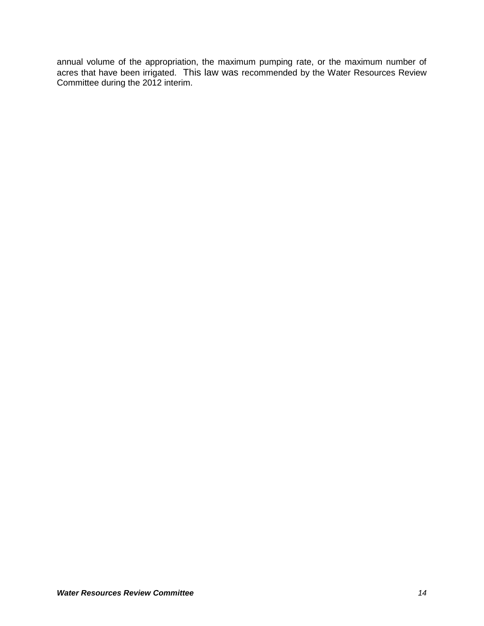annual volume of the appropriation, the maximum pumping rate, or the maximum number of acres that have been irrigated. This law was recommended by the Water Resources Review Committee during the 2012 interim.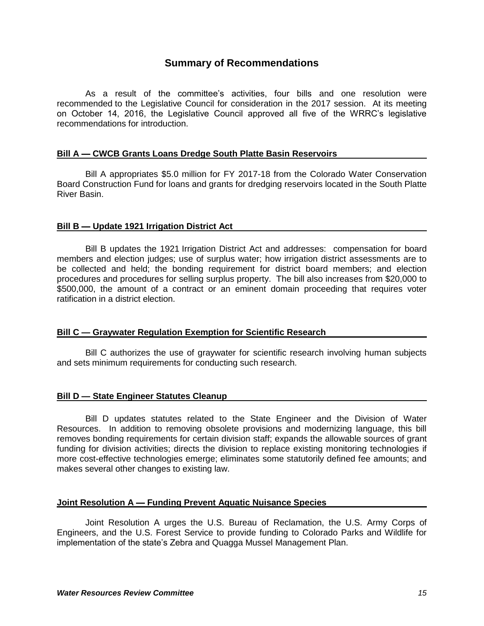## **Summary of Recommendations**

As a result of the committee's activities, four bills and one resolution were recommended to the Legislative Council for consideration in the 2017 session. At its meeting on October 14, 2016, the Legislative Council approved all five of the WRRC's legislative recommendations for introduction.

#### **Bill A — CWCB Grants Loans Dredge South Platte Basin Reservoirs**

Bill A appropriates \$5.0 million for FY 2017-18 from the Colorado Water Conservation Board Construction Fund for loans and grants for dredging reservoirs located in the South Platte River Basin.

#### **Bill B — Update 1921 Irrigation District Act**

Bill B updates the 1921 Irrigation District Act and addresses: compensation for board members and election judges; use of surplus water; how irrigation district assessments are to be collected and held; the bonding requirement for district board members; and election procedures and procedures for selling surplus property. The bill also increases from \$20,000 to \$500,000, the amount of a contract or an eminent domain proceeding that requires voter ratification in a district election.

#### **Bill C — Graywater Regulation Exemption for Scientific Research**

Bill C authorizes the use of graywater for scientific research involving human subjects and sets minimum requirements for conducting such research.

#### **Bill D — State Engineer Statutes Cleanup**

Bill D updates statutes related to the State Engineer and the Division of Water Resources. In addition to removing obsolete provisions and modernizing language, this bill removes bonding requirements for certain division staff; expands the allowable sources of grant funding for division activities; directs the division to replace existing monitoring technologies if more cost-effective technologies emerge; eliminates some statutorily defined fee amounts; and makes several other changes to existing law.

#### **Joint Resolution A — Funding Prevent Aquatic Nuisance Species**

Joint Resolution A urges the U.S. Bureau of Reclamation, the U.S. Army Corps of Engineers, and the U.S. Forest Service to provide funding to Colorado Parks and Wildlife for implementation of the state's Zebra and Quagga Mussel Management Plan.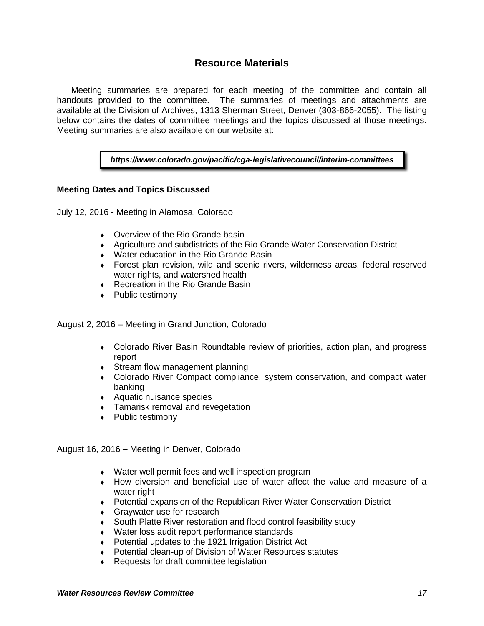## **Resource Materials**

Meeting summaries are prepared for each meeting of the committee and contain all handouts provided to the committee. The summaries of meetings and attachments are available at the Division of Archives, 1313 Sherman Street, Denver (303-866-2055). The listing below contains the dates of committee meetings and the topics discussed at those meetings. Meeting summaries are also available on our website at:

*https://www.colorado.gov/pacific/cga-legislativecouncil/interim-committees*

#### **Meeting Dates and Topics Discussed**

July 12, 2016 - Meeting in Alamosa, Colorado

- Overview of the Rio Grande basin
- Agriculture and subdistricts of the Rio Grande Water Conservation District
- Water education in the Rio Grande Basin
- Forest plan revision, wild and scenic rivers, wilderness areas, federal reserved water rights, and watershed health
- ◆ Recreation in the Rio Grande Basin
- ◆ Public testimony

August 2, 2016 – Meeting in Grand Junction, Colorado

- Colorado River Basin Roundtable review of priorities, action plan, and progress report
- Stream flow management planning
- Colorado River Compact compliance, system conservation, and compact water banking
- Aquatic nuisance species
- **Tamarisk removal and revegetation**
- ◆ Public testimony

August 16, 2016 – Meeting in Denver, Colorado

- Water well permit fees and well inspection program
- How diversion and beneficial use of water affect the value and measure of a water right
- Potential expansion of the Republican River Water Conservation District
- Graywater use for research
- South Platte River restoration and flood control feasibility study
- Water loss audit report performance standards
- ◆ Potential updates to the 1921 Irrigation District Act
- Potential clean-up of Division of Water Resources statutes
- ◆ Requests for draft committee legislation